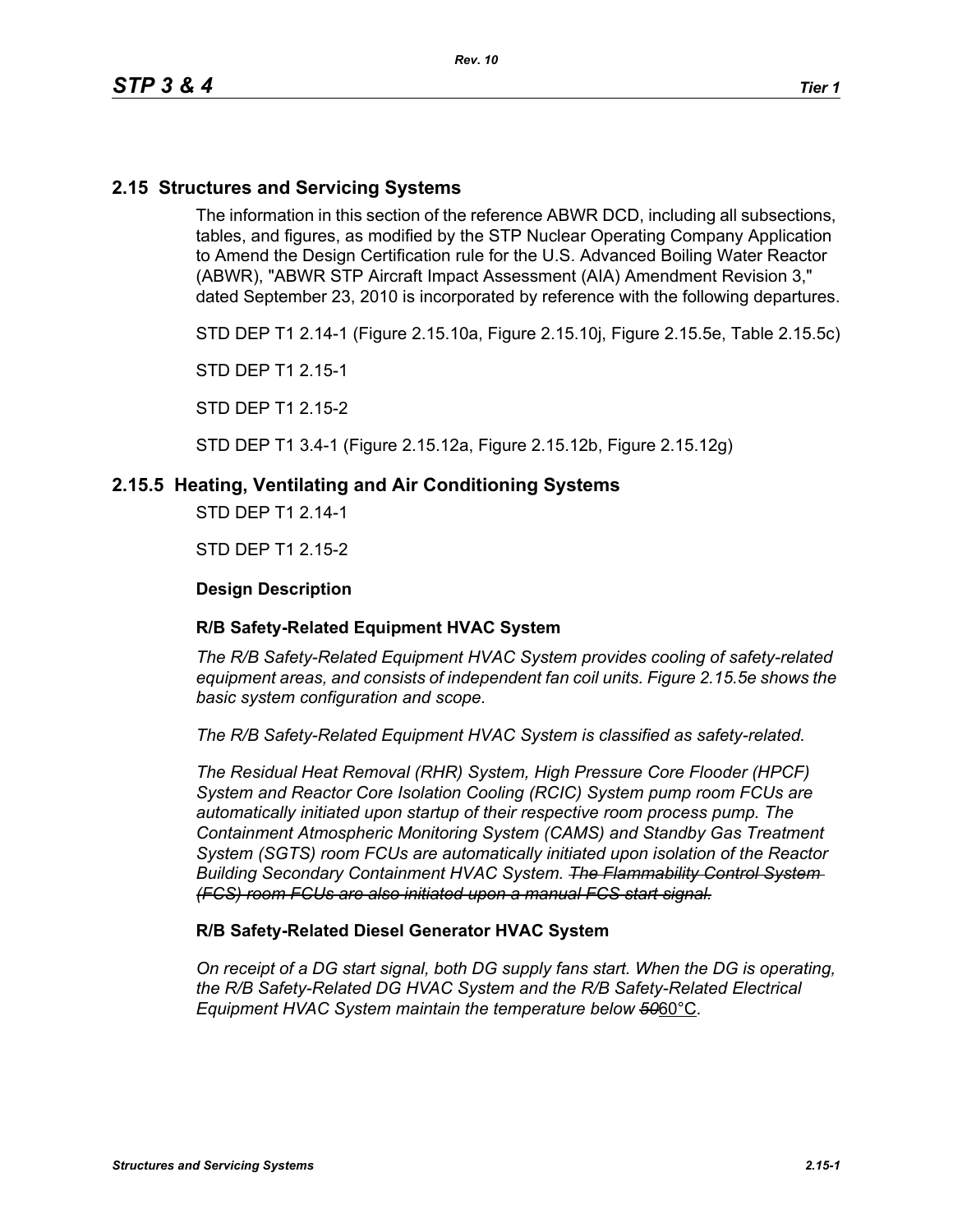# **2.15 Structures and Servicing Systems**

The information in this section of the reference ABWR DCD, including all subsections, tables, and figures, as modified by the STP Nuclear Operating Company Application to Amend the Design Certification rule for the U.S. Advanced Boiling Water Reactor (ABWR), "ABWR STP Aircraft Impact Assessment (AIA) Amendment Revision 3," dated September 23, 2010 is incorporated by reference with the following departures.

STD DEP T1 2.14-1 (Figure 2.15.10a, Figure 2.15.10j, Figure 2.15.5e, Table 2.15.5c)

STD DEP T1 2.15-1

STD DEP T1 2.15-2

STD DEP T1 3.4-1 (Figure 2.15.12a, Figure 2.15.12b, Figure 2.15.12g)

## **2.15.5 Heating, Ventilating and Air Conditioning Systems**

STD DEP T1 2.14-1

STD DEP T1 2.15-2

### **Design Description**

#### **R/B Safety-Related Equipment HVAC System**

*The R/B Safety-Related Equipment HVAC System provides cooling of safety-related equipment areas, and consists of independent fan coil units. Figure 2.15.5e shows the basic system configuration and scope.*

*The R/B Safety-Related Equipment HVAC System is classified as safety-related.*

*The Residual Heat Removal (RHR) System, High Pressure Core Flooder (HPCF) System and Reactor Core Isolation Cooling (RCIC) System pump room FCUs are automatically initiated upon startup of their respective room process pump. The Containment Atmospheric Monitoring System (CAMS) and Standby Gas Treatment System (SGTS) room FCUs are automatically initiated upon isolation of the Reactor Building Secondary Containment HVAC System. The Flammability Control System (FCS) room FCUs are also initiated upon a manual FCS start signal.*

#### **R/B Safety-Related Diesel Generator HVAC System**

*On receipt of a DG start signal, both DG supply fans start. When the DG is operating, the R/B Safety-Related DG HVAC System and the R/B Safety-Related Electrical Equipment HVAC System maintain the temperature below 50*60°C*.*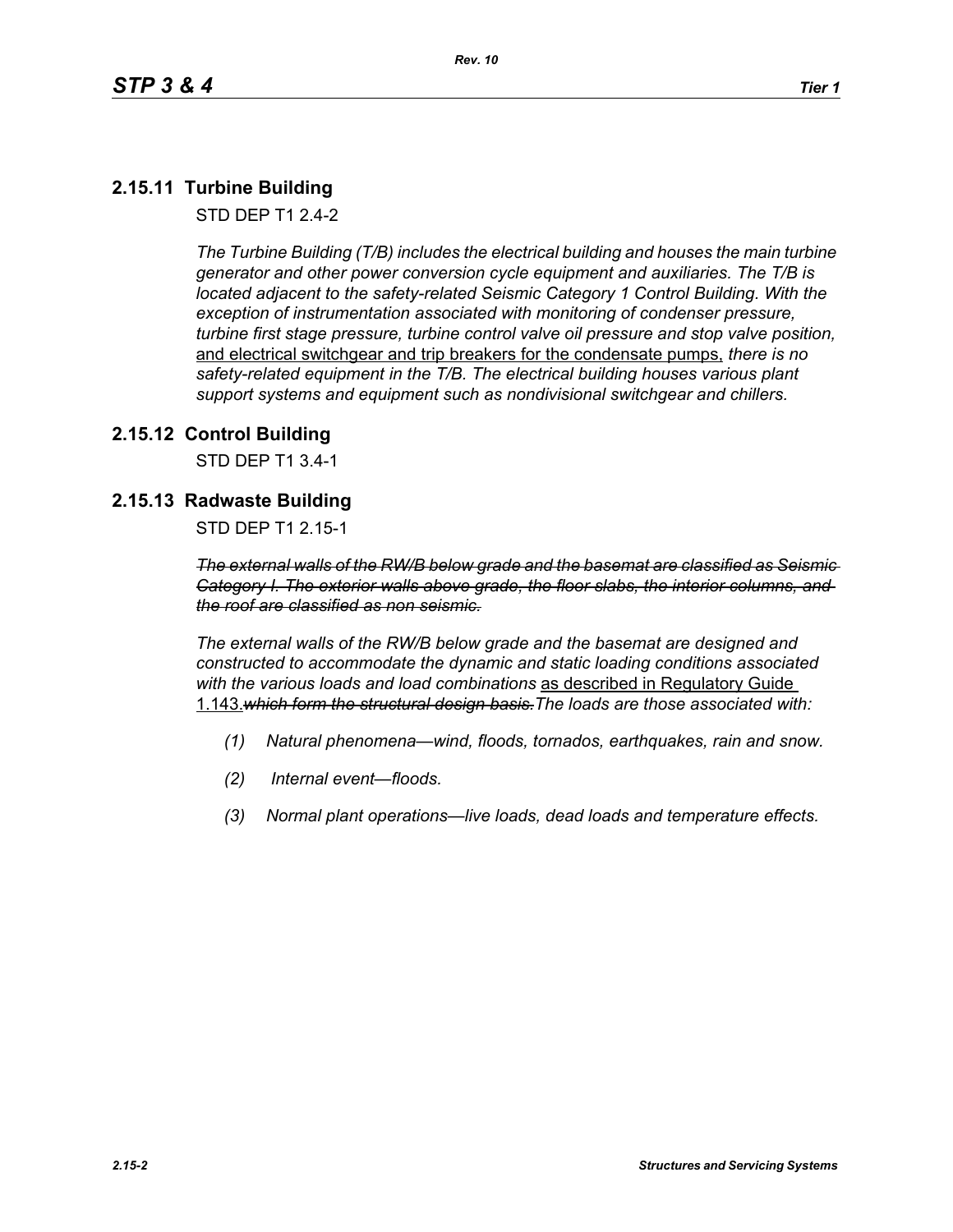# **2.15.11 Turbine Building**

STD DEP T1 2.4-2

*The Turbine Building (T/B) includes the electrical building and houses the main turbine generator and other power conversion cycle equipment and auxiliaries. The T/B is located adjacent to the safety-related Seismic Category 1 Control Building. With the exception of instrumentation associated with monitoring of condenser pressure, turbine first stage pressure, turbine control valve oil pressure and stop valve position,*  and electrical switchgear and trip breakers for the condensate pumps, *there is no safety-related equipment in the T/B. The electrical building houses various plant support systems and equipment such as nondivisional switchgear and chillers.*

# **2.15.12 Control Building**

STD DEP T1 3.4-1

# **2.15.13 Radwaste Building**

STD DEP T1 2.15-1

*The external walls of the RW/B below grade and the basemat are classified as Seismic Category I. The exterior walls above grade, the floor slabs, the interior columns, and the roof are classified as non seismic.*

*The external walls of the RW/B below grade and the basemat are designed and constructed to accommodate the dynamic and static loading conditions associated with the various loads and load combinations* as described in Regulatory Guide 1.143.*which form the structural design basis.The loads are those associated with:*

- *(1) Natural phenomena—wind, floods, tornados, earthquakes, rain and snow.*
- *(2) Internal event—floods.*
- *(3) Normal plant operations—live loads, dead loads and temperature effects.*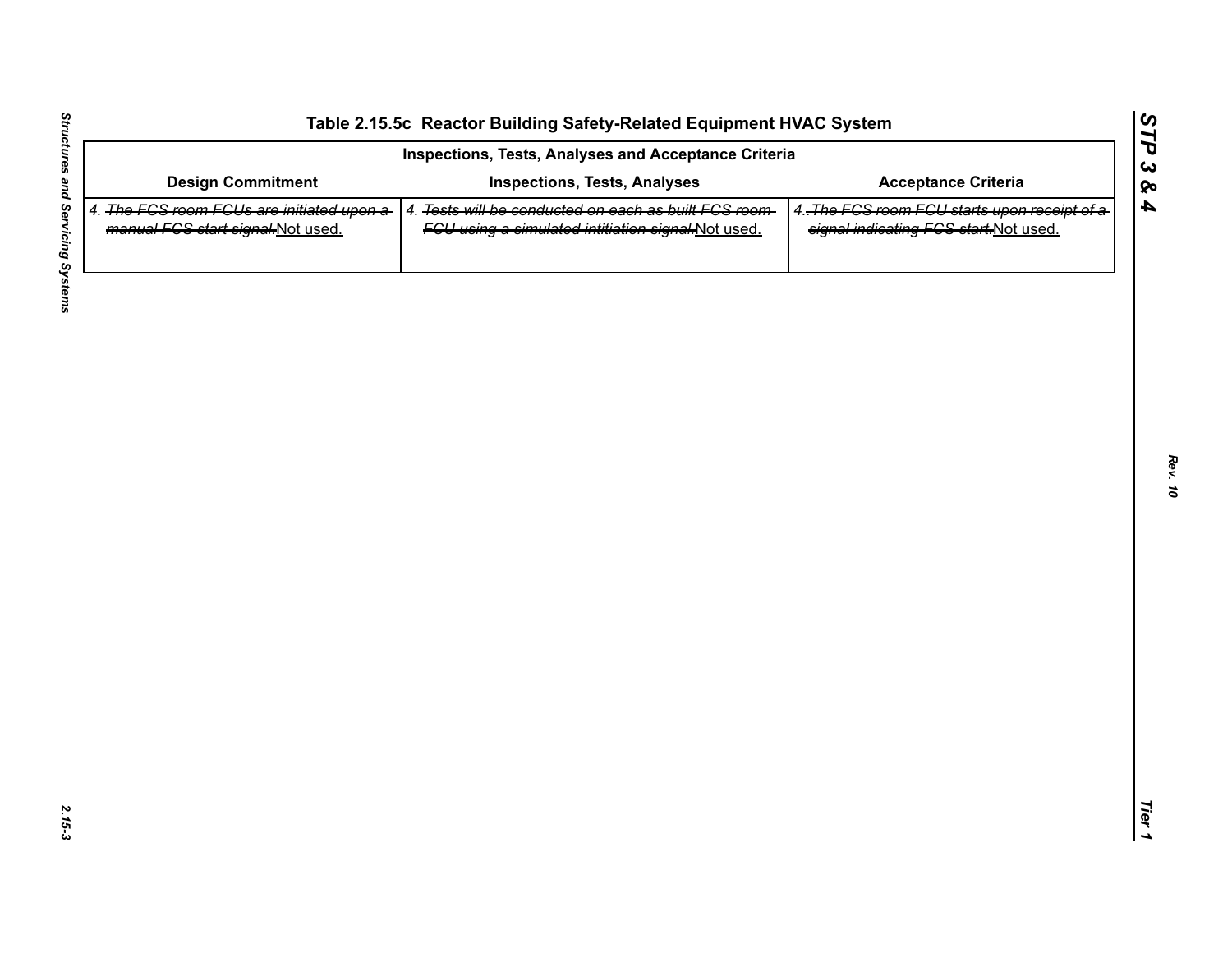| <b>Design Commitment</b><br>4. The FGS room FGUs are initiated upon a-<br>manual FCS start signal-Not used. | <b>Inspections, Tests, Analyses</b><br>4. Tests will be conducted on each as built FCS room- | <b>Acceptance Criteria</b>                                                            |
|-------------------------------------------------------------------------------------------------------------|----------------------------------------------------------------------------------------------|---------------------------------------------------------------------------------------|
|                                                                                                             |                                                                                              |                                                                                       |
|                                                                                                             | FGU using a simulated intitiation signal-Not used.                                           | 4. The FCS room FCU starts upon receipt of a<br>signal indicating FCS start-Not used. |
|                                                                                                             |                                                                                              |                                                                                       |
|                                                                                                             |                                                                                              |                                                                                       |
|                                                                                                             |                                                                                              |                                                                                       |
|                                                                                                             |                                                                                              |                                                                                       |
|                                                                                                             |                                                                                              |                                                                                       |
|                                                                                                             |                                                                                              |                                                                                       |
|                                                                                                             |                                                                                              |                                                                                       |
|                                                                                                             |                                                                                              |                                                                                       |
|                                                                                                             |                                                                                              |                                                                                       |
|                                                                                                             |                                                                                              |                                                                                       |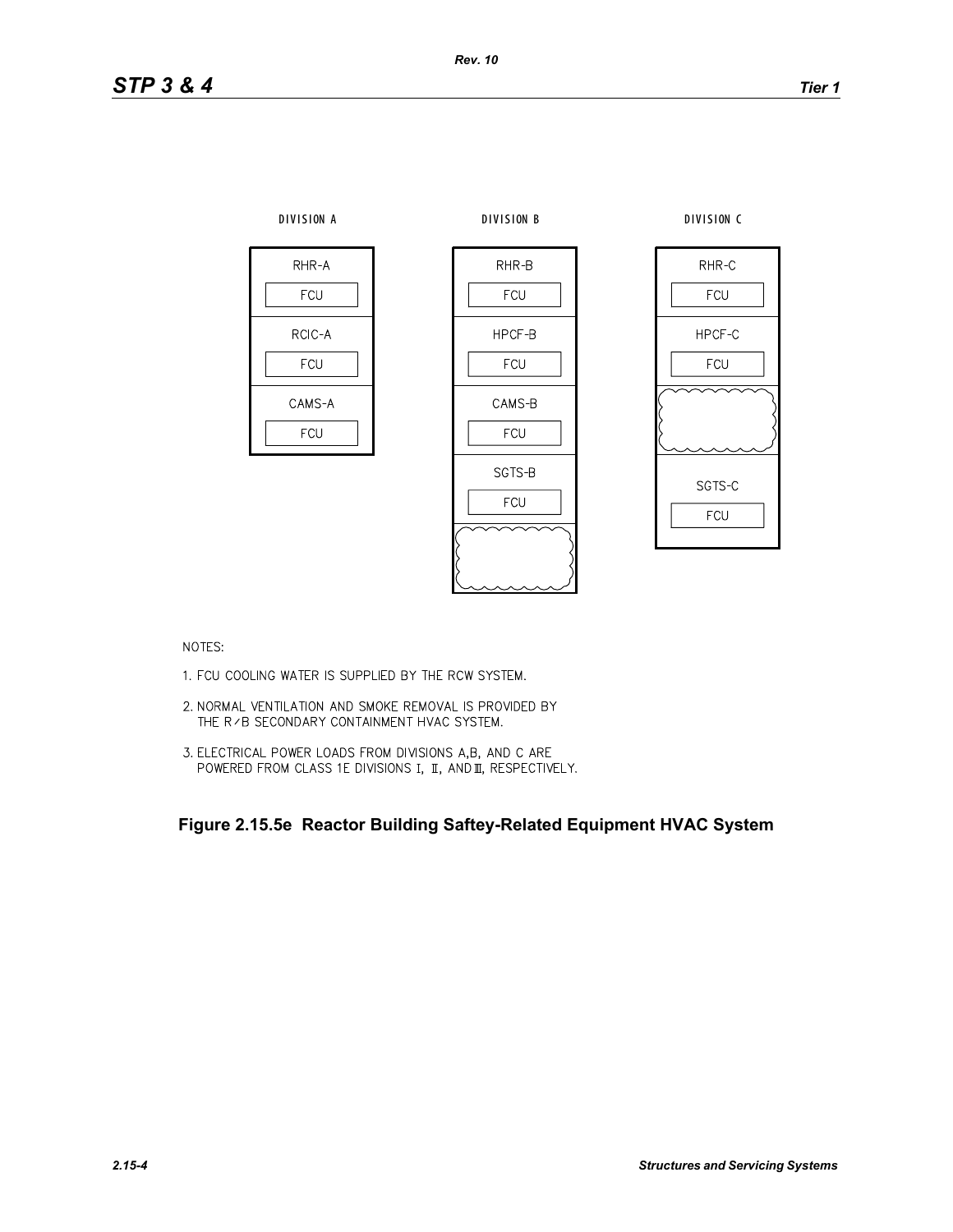

NOTES:

- 1. FCU COOLING WATER IS SUPPLIED BY THE RCW SYSTEM.
- 2. NORMAL VENTILATION AND SMOKE REMOVAL IS PROVIDED BY THE R / B SECONDARY CONTAINMENT HVAC SYSTEM.
- 3. ELECTRICAL POWER LOADS FROM DIVISIONS A,B, AND C ARE POWERED FROM CLASS 1E DIVISIONS I, II, AND II, RESPECTIVELY.

**Figure 2.15.5e Reactor Building Saftey-Related Equipment HVAC System**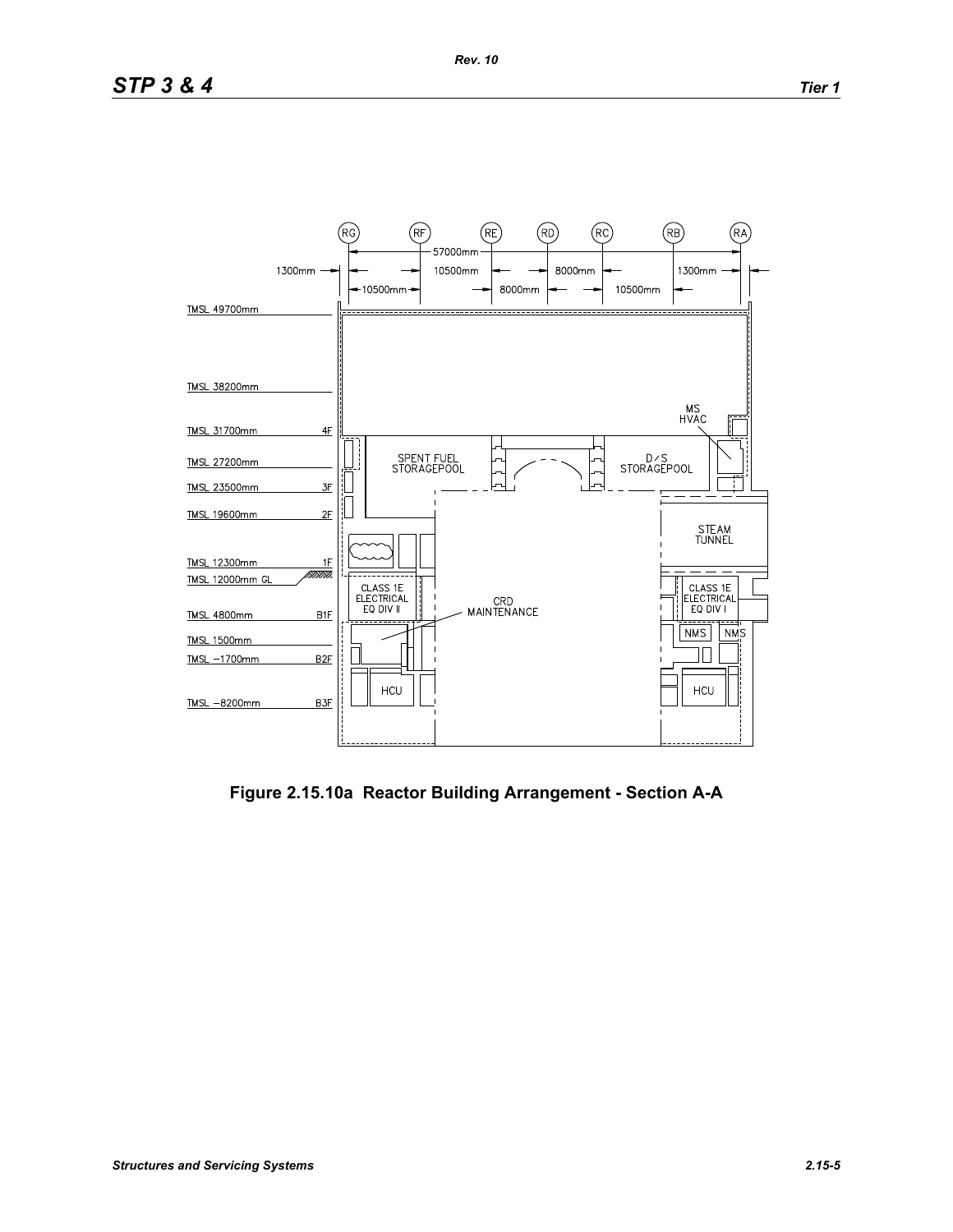

**Figure 2.15.10a Reactor Building Arrangement - Section A-A**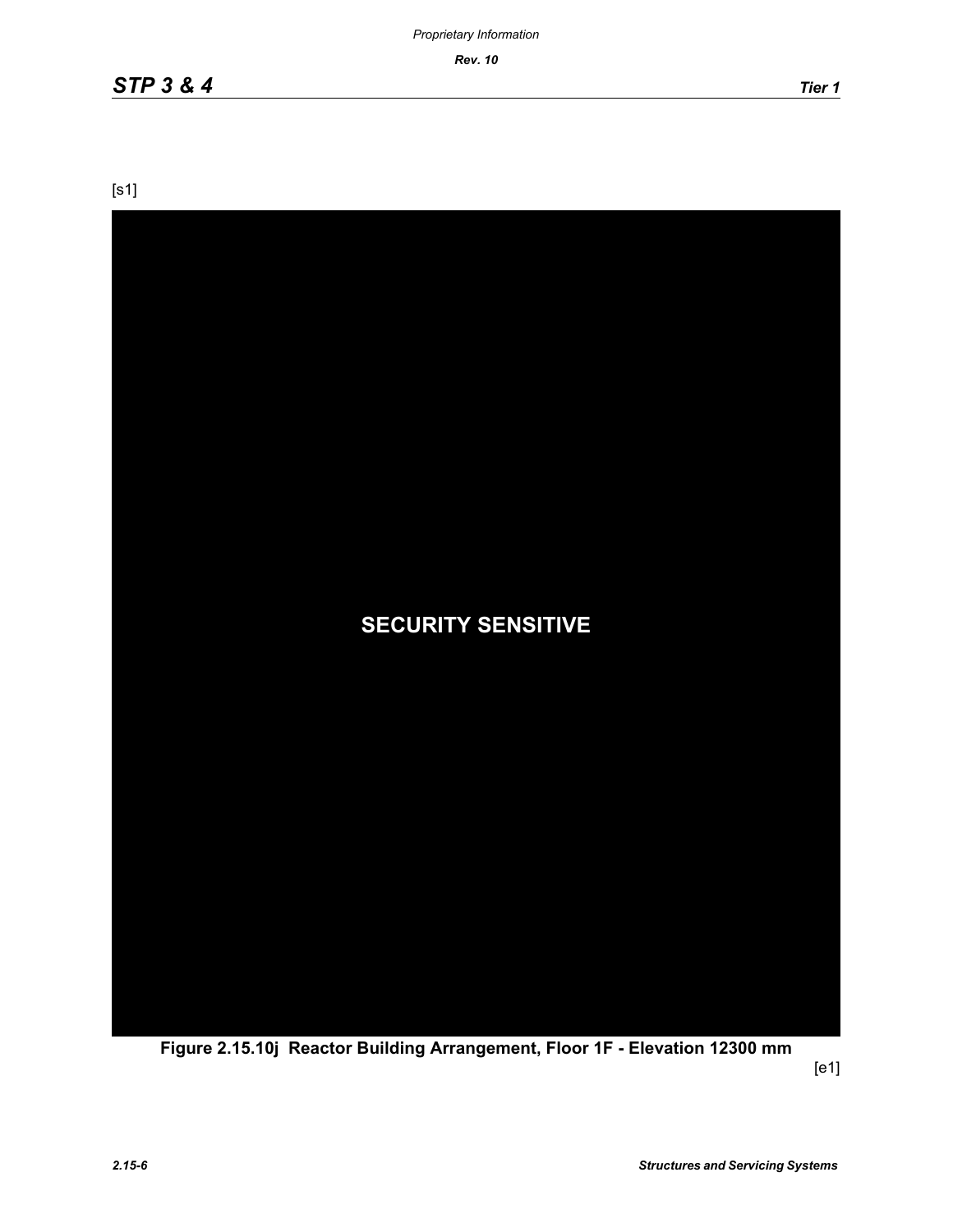*Rev. 10*

[s1]



**Figure 2.15.10j Reactor Building Arrangement, Floor 1F - Elevation 12300 mm**

[e1]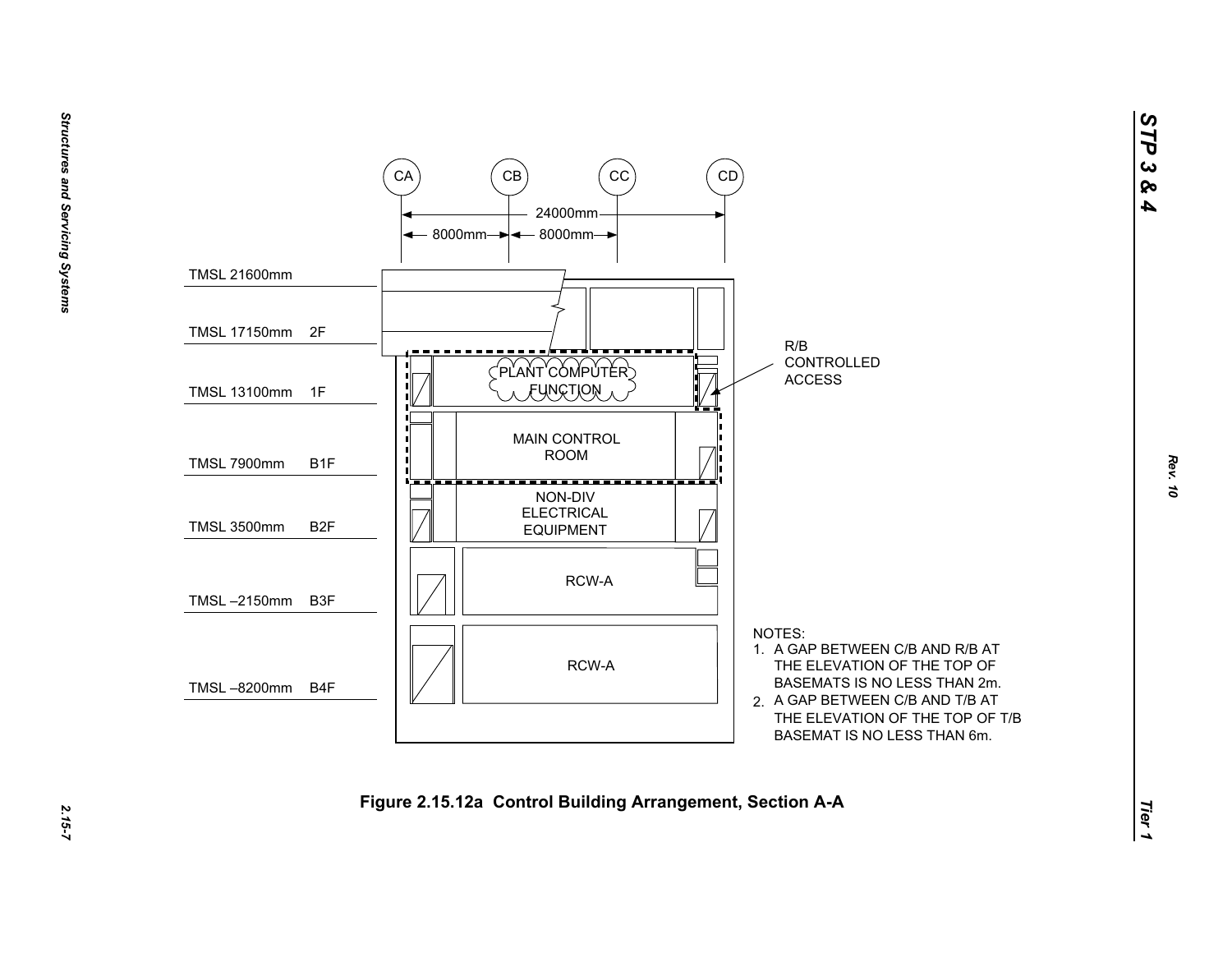

*STP 3 & 4*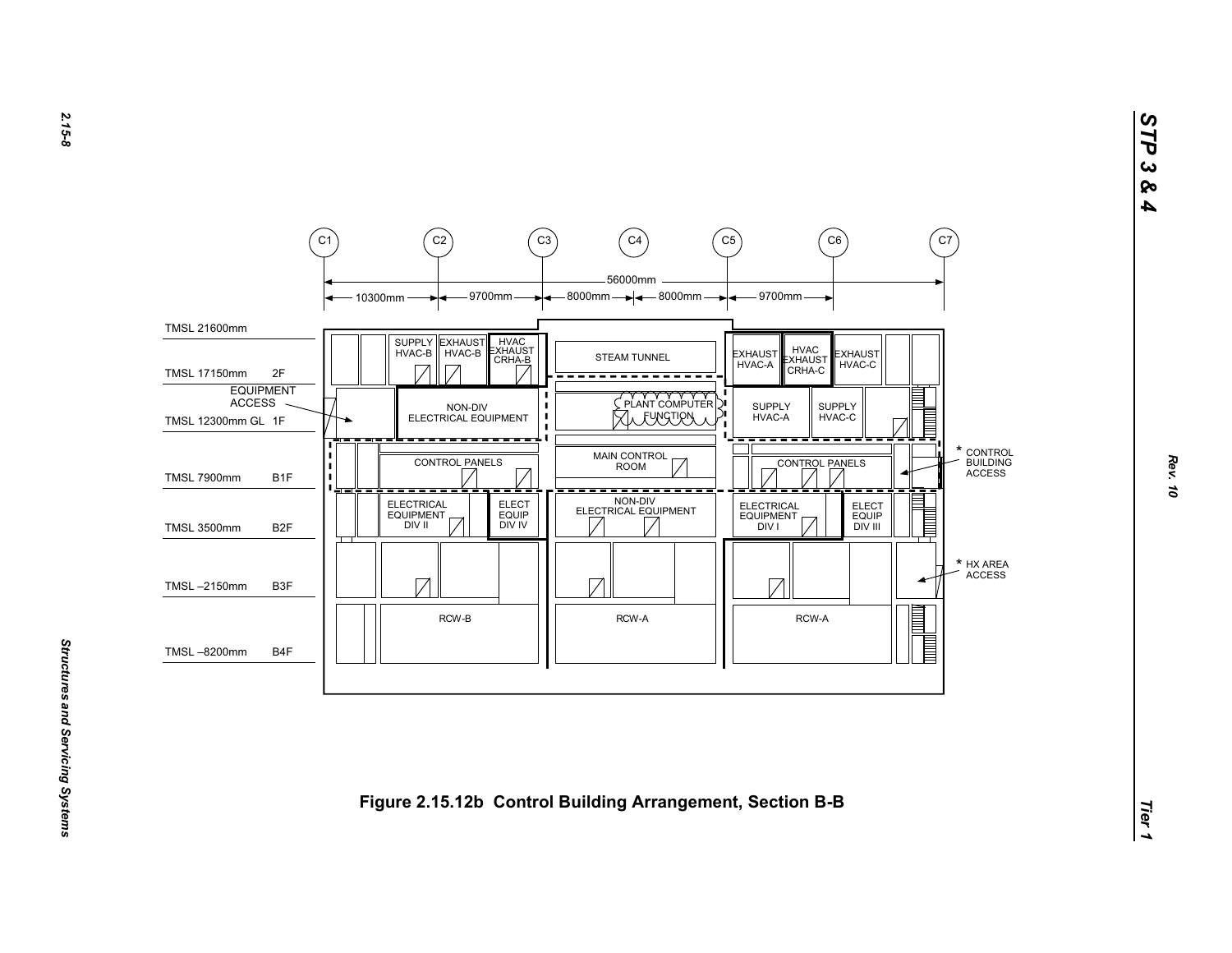

*STP 3 & 4*